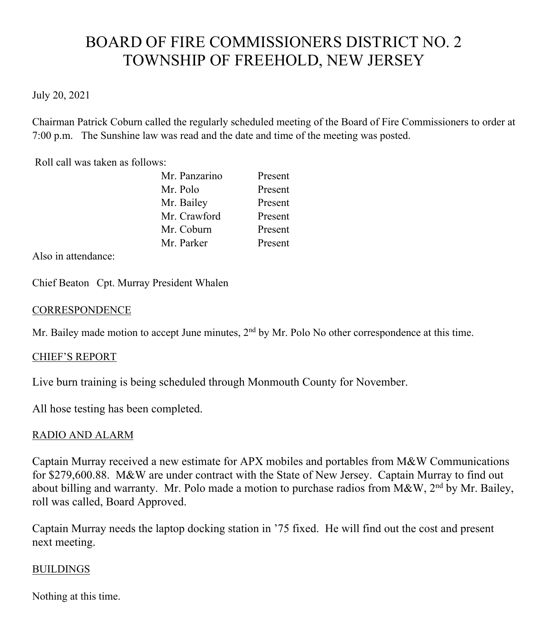# BOARD OF FIRE COMMISSIONERS DISTRICT NO. 2 TOWNSHIP OF FREEHOLD, NEW JERSEY

## July 20, 2021

Chairman Patrick Coburn called the regularly scheduled meeting of the Board of Fire Commissioners to order at 7:00 p.m. The Sunshine law was read and the date and time of the meeting was posted.

Roll call was taken as follows:

| Mr. Panzarino | Present |
|---------------|---------|
| Mr. Polo      | Present |
| Mr. Bailey    | Present |
| Mr. Crawford  | Present |
| Mr. Coburn    | Present |
| Mr. Parker    | Present |

Also in attendance:

Chief Beaton Cpt. Murray President Whalen

#### **CORRESPONDENCE**

Mr. Bailey made motion to accept June minutes,  $2<sup>nd</sup>$  by Mr. Polo No other correspondence at this time.

## CHIEF'S REPORT

Live burn training is being scheduled through Monmouth County for November.

All hose testing has been completed.

## RADIO AND ALARM

Captain Murray received a new estimate for APX mobiles and portables from M&W Communications for \$279,600.88. M&W are under contract with the State of New Jersey. Captain Murray to find out about billing and warranty. Mr. Polo made a motion to purchase radios from  $M\&W$ , 2<sup>nd</sup> by Mr. Bailey, roll was called, Board Approved.

Captain Murray needs the laptop docking station in '75 fixed. He will find out the cost and present next meeting.

## BUILDINGS

Nothing at this time.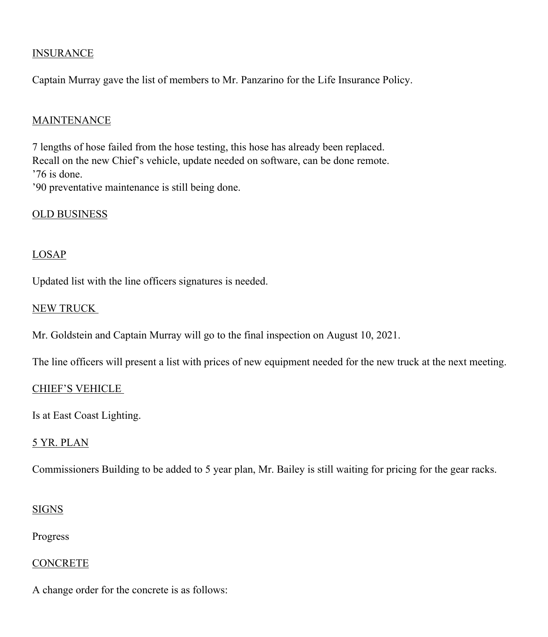## **INSURANCE**

Captain Murray gave the list of members to Mr. Panzarino for the Life Insurance Policy.

### **MAINTENANCE**

7 lengths of hose failed from the hose testing, this hose has already been replaced. Recall on the new Chief's vehicle, update needed on software, can be done remote. '76 is done. '90 preventative maintenance is still being done.

OLD BUSINESS

#### LOSAP

Updated list with the line officers signatures is needed.

#### NEW TRUCK

Mr. Goldstein and Captain Murray will go to the final inspection on August 10, 2021.

The line officers will present a list with prices of new equipment needed for the new truck at the next meeting.

#### CHIEF'S VEHICLE

Is at East Coast Lighting.

#### 5 YR. PLAN

Commissioners Building to be added to 5 year plan, Mr. Bailey is still waiting for pricing for the gear racks.

#### SIGNS

Progress

#### **CONCRETE**

A change order for the concrete is as follows: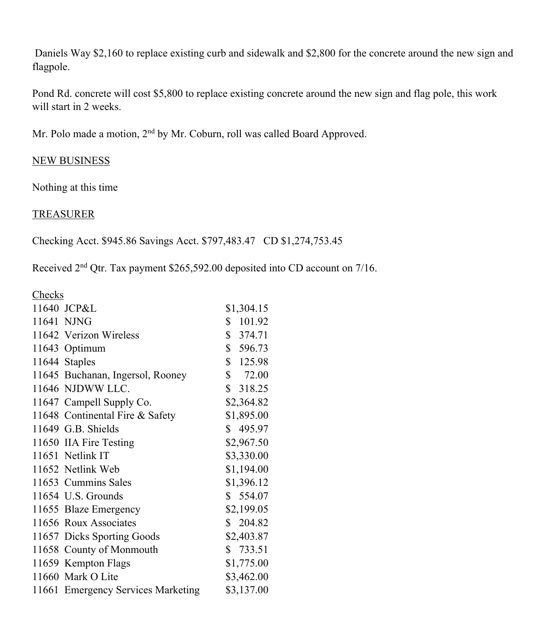Daniels Way \$2,160 to replace existing curb and sidewalk and \$2,800 for the concrete around the new sign and flagpole.

Pond Rd. concrete will cost \$5,800 to replace existing concrete around the new sign and flag pole, this work will start in 2 weeks.

Mr. Polo made a motion, 2<sup>nd</sup> by Mr. Coburn, roll was called Board Approved.

## NEW BUSINESS

Nothing at this time

## **TREASURER**

Checking Acct. \$945.86 Savings Acct. \$797,483.47 CD \$1,274,753.45

Received 2<sup>nd</sup> Qtr. Tax payment \$265,592.00 deposited into CD account on 7/16.

**Checks** 

| 11640 JCP&L                        | \$1,304.15   |
|------------------------------------|--------------|
| 11641 NJNG                         | 101.92<br>\$ |
| 11642 Verizon Wireless             | \$374.71     |
| 11643 Optimum                      | \$596.73     |
| 11644 Staples                      | \$125.98     |
| 11645 Buchanan, Ingersol, Rooney   | \$72.00      |
| 11646 NJDWW LLC.                   | \$318.25     |
| 11647 Campell Supply Co.           | \$2,364.82   |
| 11648 Continental Fire & Safety    | \$1,895.00   |
| 11649 G.B. Shields                 | \$495.97     |
| 11650 IIA Fire Testing             | \$2,967.50   |
| 11651 Netlink IT                   | \$3,330.00   |
| 11652 Netlink Web                  | \$1,194.00   |
| 11653 Cummins Sales                | \$1,396.12   |
| 11654 U.S. Grounds                 | \$554.07     |
| 11655 Blaze Emergency              | \$2,199.05   |
| 11656 Roux Associates              | \$204.82     |
| 11657 Dicks Sporting Goods         | \$2,403.87   |
| 11658 County of Monmouth           | \$733.51     |
| 11659 Kempton Flags                | \$1,775.00   |
| 11660 Mark O Lite                  | \$3,462.00   |
| 11661 Emergency Services Marketing | \$3,137.00   |